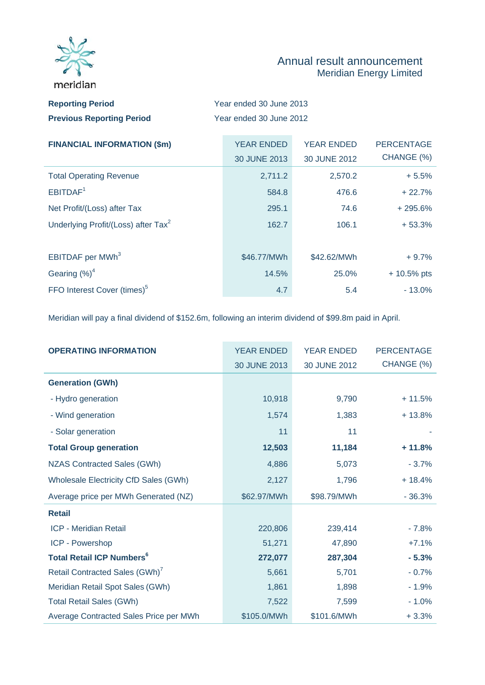

## Annual result announcement Meridian Energy Limited

| <b>Reporting Period</b>          | Year ended 30 June 2013 |
|----------------------------------|-------------------------|
| <b>Previous Reporting Period</b> | Year ended 30 June 2012 |

| <b>FINANCIAL INFORMATION (\$m)</b>              | <b>YEAR ENDED</b> | <b>YEAR ENDED</b> | <b>PERCENTAGE</b> |
|-------------------------------------------------|-------------------|-------------------|-------------------|
|                                                 | 30 JUNE 2013      | 30 JUNE 2012      | CHANGE (%)        |
| <b>Total Operating Revenue</b>                  | 2,711.2           | 2,570.2           | $+5.5%$           |
| EBITDAF <sup>1</sup>                            | 584.8             | 476.6             | $+22.7%$          |
| Net Profit/(Loss) after Tax                     | 295.1             | 74.6              | $+295.6%$         |
| Underlying Profit/(Loss) after Tax <sup>2</sup> | 162.7             | 106.1             | $+53.3%$          |
|                                                 |                   |                   |                   |
| EBITDAF per MWh <sup>3</sup>                    | \$46.77/MWh       | \$42.62/MWh       | $+9.7%$           |
| Gearing $(\%)^4$                                | 14.5%             | 25.0%             | $+10.5%$ pts      |
| FFO Interest Cover (times) <sup>5</sup>         | 4.7               | 5.4               | $-13.0\%$         |

Meridian will pay a final dividend of \$152.6m, following an interim dividend of \$99.8m paid in April.

| <b>OPERATING INFORMATION</b>                | <b>YEAR ENDED</b> | <b>YEAR ENDED</b> | <b>PERCENTAGE</b> |
|---------------------------------------------|-------------------|-------------------|-------------------|
|                                             | 30 JUNE 2013      | 30 JUNE 2012      | CHANGE (%)        |
| <b>Generation (GWh)</b>                     |                   |                   |                   |
| - Hydro generation                          | 10,918            | 9,790             | $+11.5%$          |
| - Wind generation                           | 1,574             | 1,383             | $+13.8%$          |
| - Solar generation                          | 11                | 11                |                   |
| <b>Total Group generation</b>               | 12,503            | 11,184            | $+11.8%$          |
| <b>NZAS Contracted Sales (GWh)</b>          | 4,886             | 5,073             | $-3.7%$           |
| Wholesale Electricity CfD Sales (GWh)       | 2,127             | 1,796             | $+18.4%$          |
| Average price per MWh Generated (NZ)        | \$62.97/MWh       | \$98.79/MWh       | $-36.3%$          |
| <b>Retail</b>                               |                   |                   |                   |
| <b>ICP - Meridian Retail</b>                | 220,806           | 239,414           | $-7.8%$           |
| ICP - Powershop                             | 51,271            | 47,890            | $+7.1%$           |
| <b>Total Retail ICP Numbers<sup>6</sup></b> | 272,077           | 287,304           | $-5.3%$           |
| Retail Contracted Sales (GWh)               | 5,661             | 5,701             | $-0.7%$           |
| Meridian Retail Spot Sales (GWh)            | 1,861             | 1,898             | $-1.9%$           |
| <b>Total Retail Sales (GWh)</b>             | 7,522             | 7,599             | $-1.0%$           |
| Average Contracted Sales Price per MWh      | \$105.0/MWh       | \$101.6/MWh       | $+3.3%$           |